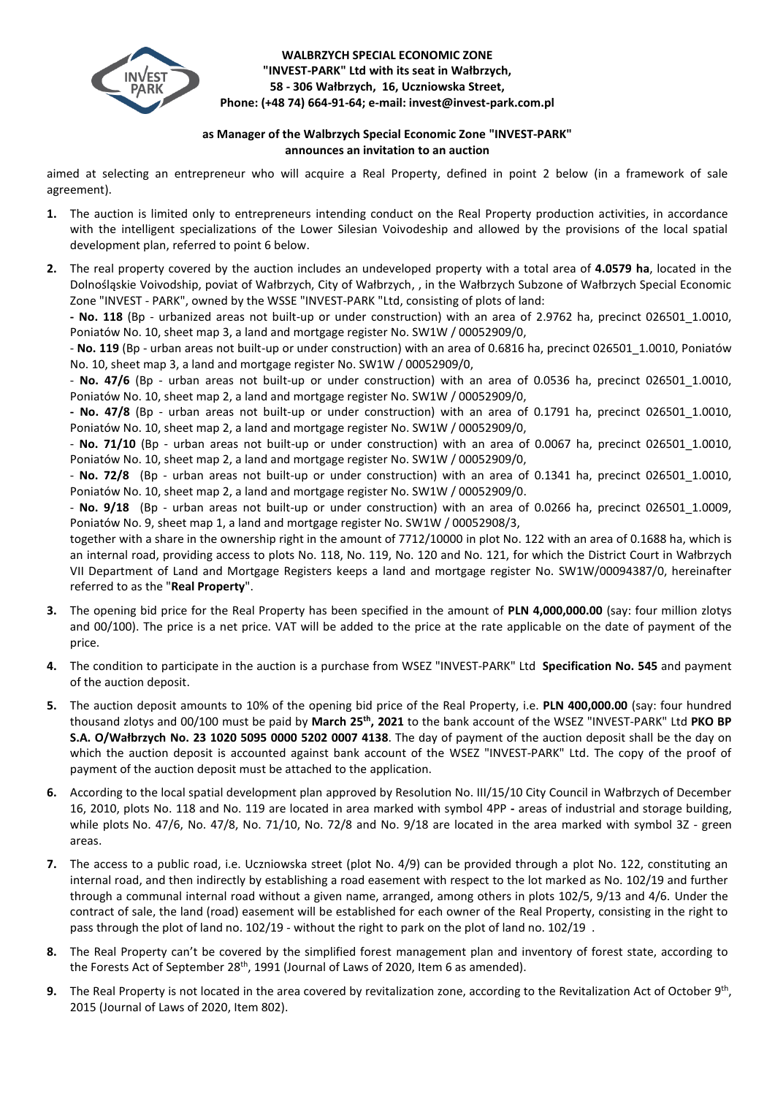

## **WALBRZYCH SPECIAL ECONOMIC ZONE "INVEST-PARK" Ltd with its seat in Wałbrzych, 58 - 306 Wałbrzych, 16, Uczniowska Street, Phone: (+48 74) 664-91-64; e-mail: invest@invest-park.com.pl**

## **as Manager of the Walbrzych Special Economic Zone "INVEST-PARK" announces an invitation to an auction**

aimed at selecting an entrepreneur who will acquire a Real Property, defined in point 2 below (in a framework of sale agreement).

- **1.** The auction is limited only to entrepreneurs intending conduct on the Real Property production activities, in accordance with the intelligent specializations of the Lower Silesian Voivodeship and allowed by the provisions of the local spatial development plan, referred to point 6 below.
- **2.** The real property covered by the auction includes an undeveloped property with a total area of **4.0579 ha**, located in the Dolnośląskie Voivodship, poviat of Wałbrzych, City of Wałbrzych, , in the Wałbrzych Subzone of Wałbrzych Special Economic Zone "INVEST - PARK", owned by the WSSE "INVEST-PARK "Ltd, consisting of plots of land:

**- No. 118** (Bp - urbanized areas not built-up or under construction) with an area of 2.9762 ha, precinct 026501\_1.0010, Poniatów No. 10, sheet map 3, a land and mortgage register No. SW1W / 00052909/0,

- **No. 119** (Bp - urban areas not built-up or under construction) with an area of 0.6816 ha, precinct 026501\_1.0010, Poniatów No. 10, sheet map 3, a land and mortgage register No. SW1W / 00052909/0,

- **No. 47/6** (Bp - urban areas not built-up or under construction) with an area of 0.0536 ha, precinct 026501\_1.0010, Poniatów No. 10, sheet map 2, a land and mortgage register No. SW1W / 00052909/0,

**- No. 47/8** (Bp - urban areas not built-up or under construction) with an area of 0.1791 ha, precinct 026501\_1.0010, Poniatów No. 10, sheet map 2, a land and mortgage register No. SW1W / 00052909/0,

- No. 71/10 (Bp - urban areas not built-up or under construction) with an area of 0.0067 ha, precinct 026501\_1.0010, Poniatów No. 10, sheet map 2, a land and mortgage register No. SW1W / 00052909/0,

- **No. 72/8** (Bp - urban areas not built-up or under construction) with an area of 0.1341 ha, precinct 026501\_1.0010, Poniatów No. 10, sheet map 2, a land and mortgage register No. SW1W / 00052909/0.

- **No. 9/18** (Bp - urban areas not built-up or under construction) with an area of 0.0266 ha, precinct 026501\_1.0009, Poniatów No. 9, sheet map 1, a land and mortgage register No. SW1W / 00052908/3,

together with a share in the ownership right in the amount of 7712/10000 in plot No. 122 with an area of 0.1688 ha, which is an internal road, providing access to plots No. 118, No. 119, No. 120 and No. 121, for which the District Court in Wałbrzych VII Department of Land and Mortgage Registers keeps a land and mortgage register No. SW1W/00094387/0, hereinafter referred to as the "**Real Property**".

- **3.** The opening bid price for the Real Property has been specified in the amount of **PLN 4,000,000.00** (say: four million zlotys and 00/100). The price is a net price. VAT will be added to the price at the rate applicable on the date of payment of the price.
- **4.** The condition to participate in the auction is a purchase from WSEZ "INVEST-PARK" Ltd **Specification No. 545** and payment of the auction deposit.
- **5.** The auction deposit amounts to 10% of the opening bid price of the Real Property, i.e. **PLN 400,000.00** (say: four hundred thousand zlotys and 00/100 must be paid by **March 25th , 2021** to the bank account of the WSEZ "INVEST-PARK" Ltd **PKO BP S.A. O/Wałbrzych No. 23 1020 5095 0000 5202 0007 4138**. The day of payment of the auction deposit shall be the day on which the auction deposit is accounted against bank account of the WSEZ "INVEST-PARK" Ltd. The copy of the proof of payment of the auction deposit must be attached to the application.
- **6.** According to the local spatial development plan approved by Resolution No. III/15/10 City Council in Wałbrzych of December 16, 2010, plots No. 118 and No. 119 are located in area marked with symbol 4PP **-** areas of industrial and storage building, while plots No. 47/6, No. 47/8, No. 71/10, No. 72/8 and No. 9/18 are located in the area marked with symbol 3Z - green areas.
- **7.** The access to a public road, i.e. Uczniowska street (plot No. 4/9) can be provided through a plot No. 122, constituting an internal road, and then indirectly by establishing a road easement with respect to the lot marked as No. 102/19 and further through a communal internal road without a given name, arranged, among others in plots 102/5, 9/13 and 4/6. Under the contract of sale, the land (road) easement will be established for each owner of the Real Property, consisting in the right to pass through the plot of land no. 102/19 - without the right to park on the plot of land no. 102/19 .
- **8.** The Real Property can't be covered by the simplified forest management plan and inventory of forest state, according to the Forests Act of September 28<sup>th</sup>, 1991 (Journal of Laws of 2020, Item 6 as amended).
- 9. The Real Property is not located in the area covered by revitalization zone, according to the Revitalization Act of October 9<sup>th</sup>, 2015 (Journal of Laws of 2020, Item 802).